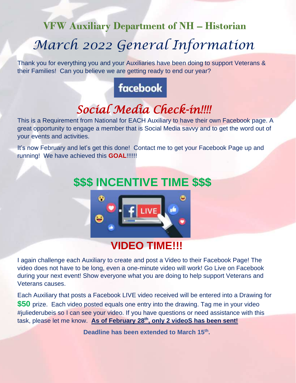# **VFW Auxiliary Department of NH – Historian** *March 2022 General Information*

Thank you for everything you and your Auxiliaries have been doing to support Veterans & their Families! Can you believe we are getting ready to end our year?

# facebook

# *Social Media Check-in!!!!*

This is a Requirement from National for EACH Auxiliary to have their own Facebook page. A great opportunity to engage a member that is Social Media savvy and to get the word out of your events and activities.

It's now February and let's get this done! Contact me to get your Facebook Page up and running! We have achieved this **GOAL**!!!!!!

# **\$\$\$ INCENTIVE TIME \$\$\$**



## **VIDEO TIME!!!**

I again challenge each Auxiliary to create and post a Video to their Facebook Page! The video does not have to be long, even a one-minute video will work! Go Live on Facebook during your next event! Show everyone what you are doing to help support Veterans and Veterans causes.

Each Auxiliary that posts a Facebook LIVE video received will be entered into a Drawing for **\$50** prize. Each video posted equals one entry into the drawing. Tag me in your video #juliederubeis so I can see your video. If you have questions or need assistance with this task, please let me know. As of February 28<sup>th</sup>, only 2 videoS has been sent!

**Deadline has been extended to March 15th .**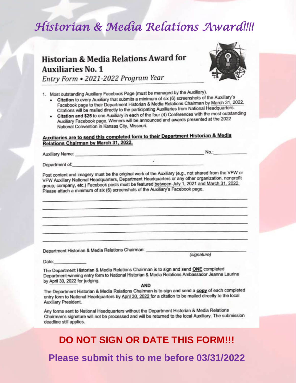## Historian & Media Relations Award!!!!

### **Historian & Media Relations Award for Auxiliaries No. 1** Entry Form . 2021-2022 Program Year



1. Most outstanding Auxiliary Facebook Page (must be managed by the Auxiliary).

- Citation to every Auxiliary that submits a minimum of six (6) screenshots of the Auxiliary's Facebook page to their Department Historian & Media Relations Chairman by March 31, 2022. Citations will be mailed directly to the participating Auxiliaries from National Headquarters.
- Citation and \$25 to one Auxiliary in each of the four (4) Conferences with the most outstanding Auxiliary Facebook page. Winners will be announced and awards presented at the 2022 National Convention in Kansas City, Missouri.

#### Auxiliaries are to send this completed form to their Department Historian & Media Relations Chairman by March 31, 2022.

Auxiliary Name:

No.:

Department of:

Post content and imagery must be the original work of the Auxiliary (e.g., not shared from the VFW or VFW Auxiliary National Headquarters, Department Headquarters or any other organization, nonprofit group, company, etc.) Facebook posts must be featured between July 1, 2021 and March 31, 2022. Please attach a minimum of six (6) screenshots of the Auxiliary's Facebook page.

Department Historian & Media Relations Chairman:

(signature)

Date:

The Department Historian & Media Relations Chairman is to sign and send ONE completed Department-winning entry form to National Historian & Media Relations Ambassador Jeanne Laurine by April 30, 2022 for judging.

**AND** 

The Department Historian & Media Relations Chairman is to sign and send a copy of each completed entry form to National Headquarters by April 30, 2022 for a citation to be mailed directly to the local Auxiliary President.

Any forms sent to National Headquarters without the Department Historian & Media Relations Chairman's signature will not be processed and will be returned to the local Auxiliary. The submission deadline still applies.

### **DO NOT SIGN OR DATE THIS FORM!!!**

Please submit this to me before 03/31/2022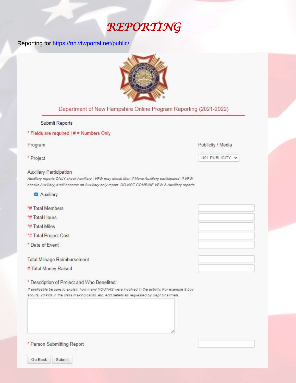## REPORTING

#### Reporting for https://nh.vfwportal.net/public/



#### Department of New Hampshire Online Program Reporting (2021-2022)

#### **Submit Reports**

#### \* Fields are required | # = Numbers Only

#### Program

\* Project

#### **Auxiliary Participation**

Auxiliary reports ONLY check Auxiliary | VFW may check Men if Mens Auxiliary participated. If VFW checks Auxiliary, it will become an Auxiliary only report. DO NOT COMBINE VFW & Auxiliary reports.

- Auxiliary
- \*# Total Members
- \*# Total Hours
- \*# Total Miles
- \*# Total Project Cost
- \* Date of Event

**Total Mileage Reimbursement** 

# Total Money Raised

\* Description of Project and Who Benefited:

If applicable be sure to explain how many YOUTHS were involved in the activity. For example 8 boy scouts, 23 kids in the class making cards, etc. Add details as requested by Dept Chairmen.

#### \* Person Submitting Report

Go Back Submit

#### Publicity / Media

#### U01 PUBLICITY V